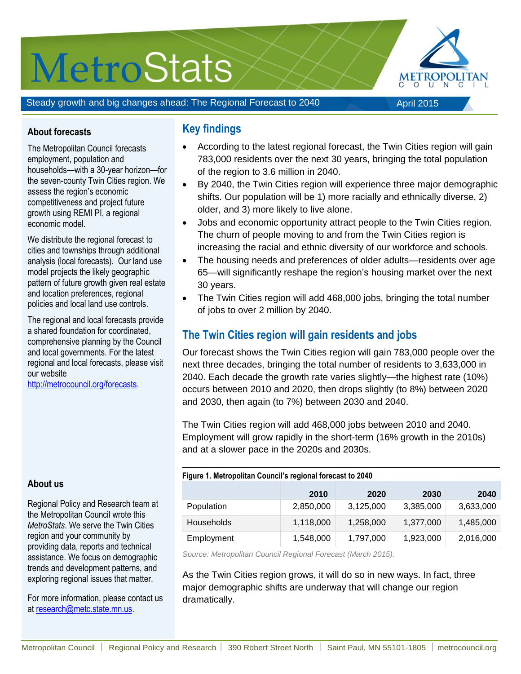# **MetroStats**



Steady growth and big changes ahead: The Regional Forecast to 2040

#### April 2015

#### **About forecasts**

The Metropolitan Council forecasts employment, population and households—with a 30-year horizon—for the seven-county Twin Cities region. We assess the region's economic competitiveness and project future growth using REMI PI, a regional economic model.

We distribute the regional forecast to cities and townships through additional analysis (local forecasts). Our land use model projects the likely geographic pattern of future growth given real estate and location preferences, regional policies and local land use controls.

The regional and local forecasts provide a shared foundation for coordinated, comprehensive planning by the Council and local governments. For the latest regional and local forecasts, please visit our website

[http://metrocouncil.org/forecasts.](http://metrocouncil.org/forecasts)

#### **About us**

Regional Policy and Research team at the Metropolitan Council wrote this *MetroStats*. We serve the Twin Cities region and your community by providing data, reports and technical assistance. We focus on demographic trends and development patterns, and exploring regional issues that matter.

For more information, please contact us at [research@metc.state.mn.us](mailto:research@metc.state.mn.us?subject=Twin%20Cities%20Regional%20Forecast%20to%202040:%20Slow,%20steady%20growth).

### **Key findings**

- According to the latest regional forecast, the Twin Cities region will gain 783,000 residents over the next 30 years, bringing the total population of the region to 3.6 million in 2040.
- By 2040, the Twin Cities region will experience three major demographic shifts. Our population will be 1) more racially and ethnically diverse, 2) older, and 3) more likely to live alone.
- Jobs and economic opportunity attract people to the Twin Cities region. The churn of people moving to and from the Twin Cities region is increasing the racial and ethnic diversity of our workforce and schools.
- The housing needs and preferences of older adults—residents over age 65—will significantly reshape the region's housing market over the next 30 years.
- The Twin Cities region will add 468,000 jobs, bringing the total number of jobs to over 2 million by 2040.

## **The Twin Cities region will gain residents and jobs**

Our forecast shows the Twin Cities region will gain 783,000 people over the next three decades, bringing the total number of residents to 3,633,000 in 2040. Each decade the growth rate varies slightly—the highest rate (10%) occurs between 2010 and 2020, then drops slightly (to 8%) between 2020 and 2030, then again (to 7%) between 2030 and 2040.

The Twin Cities region will add 468,000 jobs between 2010 and 2040. Employment will grow rapidly in the short-term (16% growth in the 2010s) and at a slower pace in the 2020s and 2030s.

| Figure 1. Metropolitan Council's regional forecast to 2040 |           |           |           |           |
|------------------------------------------------------------|-----------|-----------|-----------|-----------|
|                                                            | 2010      | 2020      | 2030      | 2040      |
| Population                                                 | 2,850,000 | 3,125,000 | 3,385,000 | 3,633,000 |
| <b>Households</b>                                          | 1,118,000 | 1,258,000 | 1,377,000 | 1,485,000 |
| Employment                                                 | 1,548,000 | 1,797,000 | 1,923,000 | 2,016,000 |

*Source: Metropolitan Council Regional Forecast (March 2015).*

As the Twin Cities region grows, it will do so in new ways. In fact, three major demographic shifts are underway that will change our region dramatically.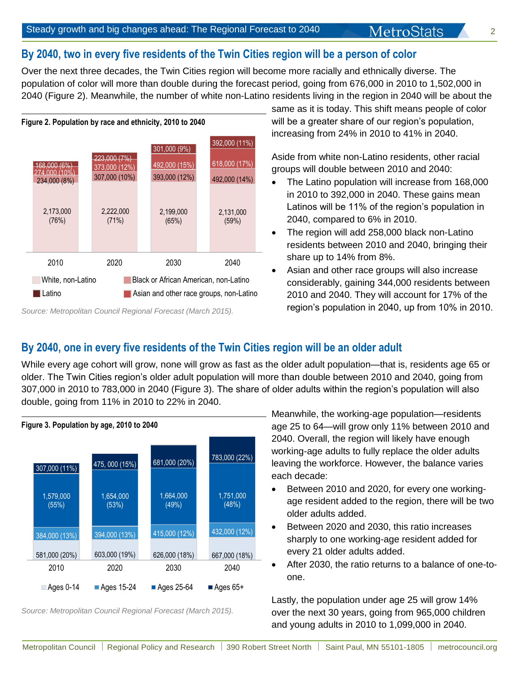# **By 2040, two in every five residents of the Twin Cities region will be a person of color**

Over the next three decades, the Twin Cities region will become more racially and ethnically diverse. The population of color will more than double during the forecast period, going from 676,000 in 2010 to 1,502,000 in 2040 (Figure 2). Meanwhile, the number of white non-Latino residents living in the region in 2040 will be about the



*Source: Metropolitan Council Regional Forecast (March 2015).* 

same as it is today. This shift means people of color will be a greater share of our region's population, increasing from 24% in 2010 to 41% in 2040.

**MetroStats** 

Aside from white non-Latino residents, other racial groups will double between 2010 and 2040:

- The Latino population will increase from 168,000 in 2010 to 392,000 in 2040. These gains mean Latinos will be 11% of the region's population in 2040, compared to 6% in 2010.
- The region will add 258,000 black non-Latino residents between 2010 and 2040, bringing their share up to 14% from 8%.
- Asian and other race groups will also increase considerably, gaining 344,000 residents between 2010 and 2040. They will account for 17% of the region's population in 2040, up from 10% in 2010.

## **By 2040, one in every five residents of the Twin Cities region will be an older adult**

While every age cohort will grow, none will grow as fast as the older adult population—that is, residents age 65 or older. The Twin Cities region's older adult population will more than double between 2010 and 2040, going from 307,000 in 2010 to 783,000 in 2040 (Figure 3). The share of older adults within the region's population will also double, going from 11% in 2010 to 22% in 2040.



*Source: Metropolitan Council Regional Forecast (March 2015).* 

a ge 25 to 64—will grow only 11% between 2010 and 2 040. Overall, the region will likely have enough w orking-age adults to fully replace the older adults le aving the workforce. However, the balance varies e ach decade: Meanwhile, the working-age population—residents

- $\bullet$ Between 2010 and 2020, for every one workingage resident added to the region, there will be two older adults added.
- $\bullet$ Between 2020 and 2030, this ratio increases sharply to one working-age resident added for every 21 older adults added.
- $\bullet$ After 2030, the ratio returns to a balance of one-toone.

L astly, the population under age 25 will grow 14% over the next 30 years, going from 965,000 children a nd young adults in 2010 to 1,099,000 in 2040.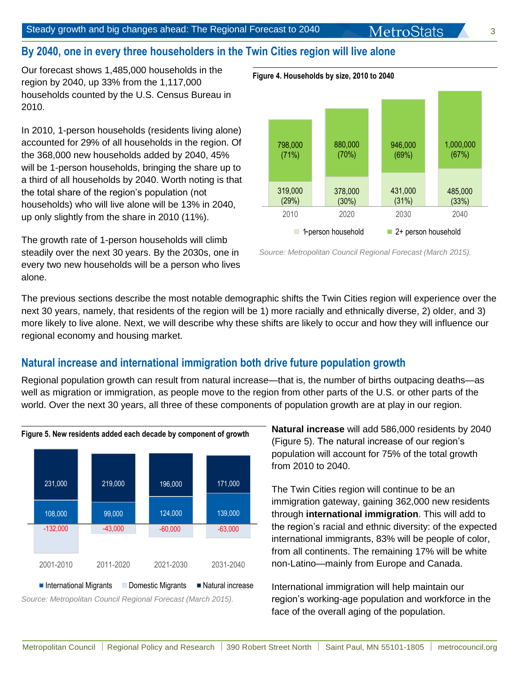# **By 2040, one in every three householders in the Twin Cities region will live alone**

Our forecast shows 1,485,000 households in the region by 2040, up 33% from the 1,117,000 households counted by the U.S. Census Bureau in 2010.

In 2010, 1-person households (residents living alone) accounted for 29% of all households in the region. Of the 368,000 new households added by 2040, 45% will be 1-person households, bringing the share up to a third of all households by 2040. Worth noting is that the total share of the region's population (not households) who will live alone will be 13% in 2040, up only slightly from the share in 2010 (11%).

The growth rate of 1-person households will climb steadily over the next 30 years. By the 2030s, one in every two new households will be a person who lives alone.



 *Source: Metropolitan Council Regional Forecast (March 2015).* 

The previous sections describe the most notable demographic shifts the Twin Cities region will experience over the next 30 years, namely, that residents of the region will be 1) more racially and ethnically diverse, 2) older, and 3) more likely to live alone. Next, we will describe why these shifts are likely to occur and how they will influence our regional economy and housing market.

## **Natural increase and international immigration both drive future population growth**

Regional population growth can result from natural increase—that is, the number of births outpacing deaths—as well as migration or immigration, as people move to the region from other parts of the U.S. or other parts of the world. Over the next 30 years, all three of these components of population growth are at play in our region.



*Source: Metropolitan Council Regional Forecast (March 2015).*

**Natural increase** will add 586,000 residents by 2040 (Figure 5). The natural increase of our region's population will account for 75% of the total growth from 2010 to 2040.

The Twin Cities region will continue to be an immigration gateway, gaining 362,000 new residents through **international immigration**. This will add to the region's racial and ethnic diversity: of the expected international immigrants, 83% will be people of color, from all continents. The remaining 17% will be white non-Latino—mainly from Europe and Canada.

International immigration will help maintain our region's working-age population and workforce in the face of the overall aging of the population.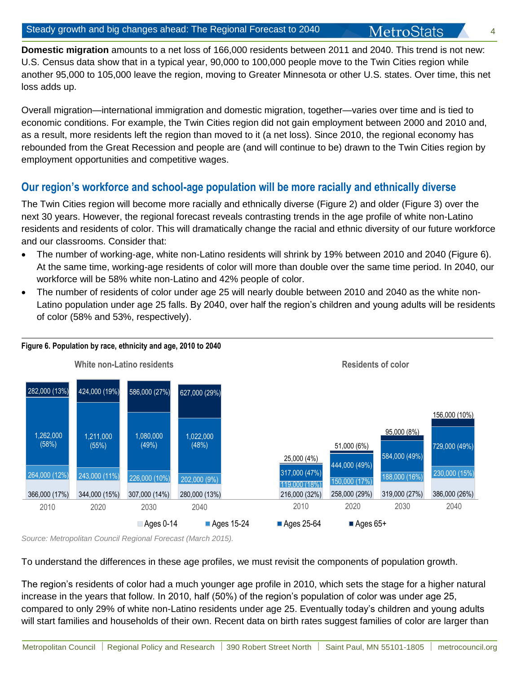**Domestic migration** amounts to a net loss of 166,000 residents between 2011 and 2040. This trend is not new: U.S. Census data show that in a typical year, 90,000 to 100,000 people move to the Twin Cities region while another 95,000 to 105,000 leave the region, moving to Greater Minnesota or other U.S. states. Over time, this net loss adds up.

Overall migration—international immigration and domestic migration, together—varies over time and is tied to economic conditions. For example, the Twin Cities region did not gain employment between 2000 and 2010 and, as a result, more residents left the region than moved to it (a net loss). Since 2010, the regional economy has rebounded from the Great Recession and people are (and will continue to be) drawn to the Twin Cities region by employment opportunities and competitive wages.

## **Our region's workforce and school-age population will be more racially and ethnically diverse**

The Twin Cities region will become more racially and ethnically diverse (Figure 2) and older (Figure 3) over the next 30 years. However, the regional forecast reveals contrasting trends in the age profile of white non-Latino residents and residents of color. This will dramatically change the racial and ethnic diversity of our future workforce and our classrooms. Consider that:

- The number of working-age, white non-Latino residents will shrink by 19% between 2010 and 2040 (Figure 6). At the same time, working-age residents of color will more than double over the same time period. In 2040, our workforce will be 58% white non-Latino and 42% people of color.
- The number of residents of color under age 25 will nearly double between 2010 and 2040 as the white non-Latino population under age 25 falls. By 2040, over half the region's children and young adults will be residents of color (58% and 53%, respectively).



**Figure 6. Population by race, ethnicity and age, 2010 to 2040** 

*Source: Metropolitan Council Regional Forecast (March 2015).*

To understand the differences in these age profiles, we must revisit the components of population growth.

The region's residents of color had a much younger age profile in 2010, which sets the stage for a higher natural increase in the years that follow. In 2010, half (50%) of the region's population of color was under age 25, compared to only 29% of white non-Latino residents under age 25. Eventually today's children and young adults will start families and households of their own. Recent data on birth rates suggest families of color are larger than

**4**4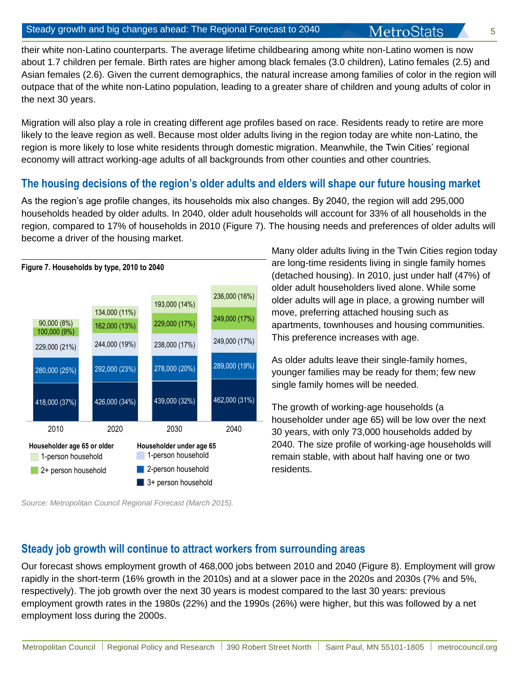MetroStats

their white non-Latino counterparts. The average lifetime childbearing among white non-Latino women is now about 1.7 children per female. Birth rates are higher among black females (3.0 children), Latino females (2.5) and Asian females (2.6). Given the current demographics, the natural increase among families of color in the region will outpace that of the white non-Latino population, leading to a greater share of children and young adults of color in the next 30 years.

Migration will also play a role in creating different age profiles based on race. Residents ready to retire are more likely to the leave region as well. Because most older adults living in the region today are white non-Latino, the region is more likely to lose white residents through domestic migration. Meanwhile, the Twin Cities' regional economy will attract working-age adults of all backgrounds from other counties and other countries.

## **The housing decisions of the region's older adults and elders will shape our future housing market**

As the region's age profile changes, its households mix also changes. By 2040, the region will add 295,000 households headed by older adults. In 2040, older adult households will account for 33% of all households in the region, compared to 17% of households in 2010 (Figure 7). The housing needs and preferences of older adults will become a driver of the housing market.



*Source: Metropolitan Council Regional Forecast (March 2015).*

Many older adults living in the Twin Cities region today are long-time residents living in single family homes (detached housing). In 2010, just under half (47%) of older adult householders lived alone. While some older adults will age in place, a growing number will move, preferring attached housing such as apartments, townhouses and housing communities. This preference increases with age.

As older adults leave their single-family homes, younger families may be ready for them; few new single family homes will be needed.

The growth of working-age households (a householder under age 65) will be low over the next 30 years, with only 73,000 households added by 2040. The size profile of working-age households will remain stable, with about half having one or two residents.

## **Steady job growth will continue to attract workers from surrounding areas**

Our forecast shows employment growth of 468,000 jobs between 2010 and 2040 (Figure 8). Employment will grow rapidly in the short-term (16% growth in the 2010s) and at a slower pace in the 2020s and 2030s (7% and 5%, respectively). The job growth over the next 30 years is modest compared to the last 30 years: previous employment growth rates in the 1980s (22%) and the 1990s (26%) were higher, but this was followed by a net employment loss during the 2000s.